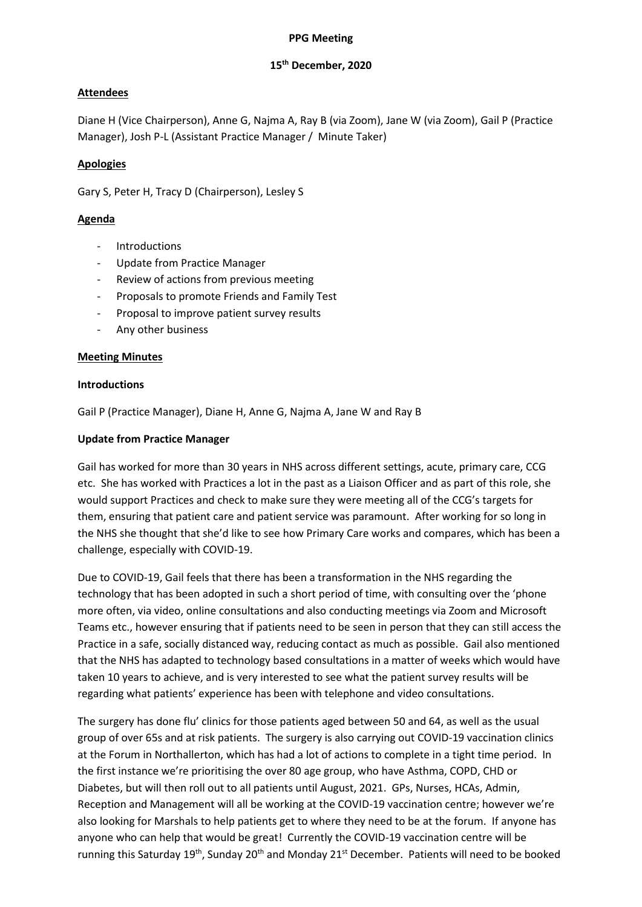#### **PPG Meeting**

## **15th December, 2020**

# **Attendees**

Diane H (Vice Chairperson), Anne G, Najma A, Ray B (via Zoom), Jane W (via Zoom), Gail P (Practice Manager), Josh P-L (Assistant Practice Manager / Minute Taker)

### **Apologies**

Gary S, Peter H, Tracy D (Chairperson), Lesley S

## **Agenda**

- **Introductions**
- Update from Practice Manager
- Review of actions from previous meeting
- Proposals to promote Friends and Family Test
- Proposal to improve patient survey results
- Any other business

#### **Meeting Minutes**

#### **Introductions**

Gail P (Practice Manager), Diane H, Anne G, Najma A, Jane W and Ray B

#### **Update from Practice Manager**

Gail has worked for more than 30 years in NHS across different settings, acute, primary care, CCG etc. She has worked with Practices a lot in the past as a Liaison Officer and as part of this role, she would support Practices and check to make sure they were meeting all of the CCG's targets for them, ensuring that patient care and patient service was paramount. After working for so long in the NHS she thought that she'd like to see how Primary Care works and compares, which has been a challenge, especially with COVID-19.

Due to COVID-19, Gail feels that there has been a transformation in the NHS regarding the technology that has been adopted in such a short period of time, with consulting over the 'phone more often, via video, online consultations and also conducting meetings via Zoom and Microsoft Teams etc., however ensuring that if patients need to be seen in person that they can still access the Practice in a safe, socially distanced way, reducing contact as much as possible. Gail also mentioned that the NHS has adapted to technology based consultations in a matter of weeks which would have taken 10 years to achieve, and is very interested to see what the patient survey results will be regarding what patients' experience has been with telephone and video consultations.

The surgery has done flu' clinics for those patients aged between 50 and 64, as well as the usual group of over 65s and at risk patients. The surgery is also carrying out COVID-19 vaccination clinics at the Forum in Northallerton, which has had a lot of actions to complete in a tight time period. In the first instance we're prioritising the over 80 age group, who have Asthma, COPD, CHD or Diabetes, but will then roll out to all patients until August, 2021. GPs, Nurses, HCAs, Admin, Reception and Management will all be working at the COVID-19 vaccination centre; however we're also looking for Marshals to help patients get to where they need to be at the forum. If anyone has anyone who can help that would be great! Currently the COVID-19 vaccination centre will be running this Saturday 19<sup>th</sup>, Sunday 20<sup>th</sup> and Monday 21<sup>st</sup> December. Patients will need to be booked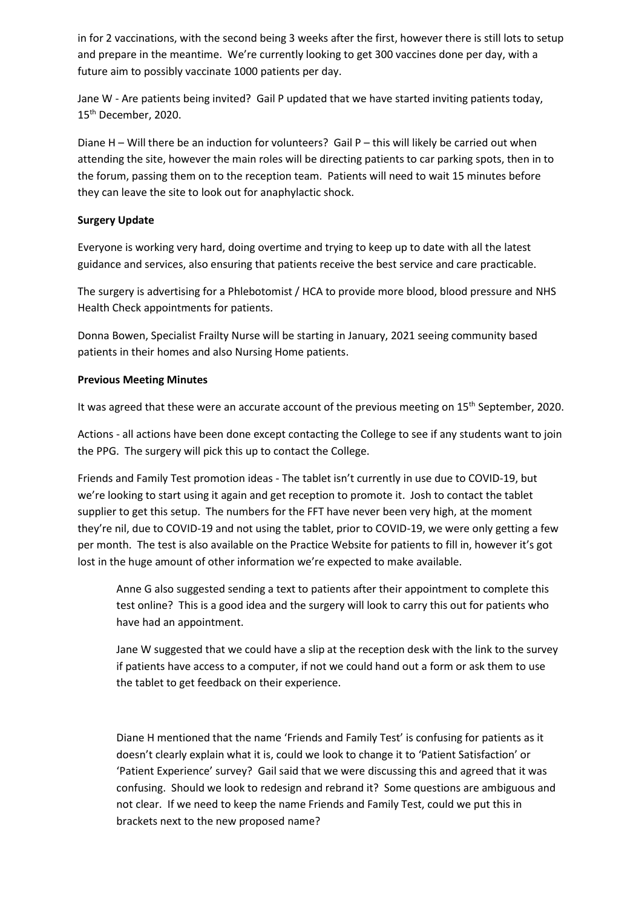in for 2 vaccinations, with the second being 3 weeks after the first, however there is still lots to setup and prepare in the meantime. We're currently looking to get 300 vaccines done per day, with a future aim to possibly vaccinate 1000 patients per day.

Jane W - Are patients being invited? Gail P updated that we have started inviting patients today, 15th December, 2020.

Diane H – Will there be an induction for volunteers? Gail P – this will likely be carried out when attending the site, however the main roles will be directing patients to car parking spots, then in to the forum, passing them on to the reception team. Patients will need to wait 15 minutes before they can leave the site to look out for anaphylactic shock.

# **Surgery Update**

Everyone is working very hard, doing overtime and trying to keep up to date with all the latest guidance and services, also ensuring that patients receive the best service and care practicable.

The surgery is advertising for a Phlebotomist / HCA to provide more blood, blood pressure and NHS Health Check appointments for patients.

Donna Bowen, Specialist Frailty Nurse will be starting in January, 2021 seeing community based patients in their homes and also Nursing Home patients.

# **Previous Meeting Minutes**

It was agreed that these were an accurate account of the previous meeting on 15<sup>th</sup> September, 2020.

Actions - all actions have been done except contacting the College to see if any students want to join the PPG. The surgery will pick this up to contact the College.

Friends and Family Test promotion ideas - The tablet isn't currently in use due to COVID-19, but we're looking to start using it again and get reception to promote it. Josh to contact the tablet supplier to get this setup. The numbers for the FFT have never been very high, at the moment they're nil, due to COVID-19 and not using the tablet, prior to COVID-19, we were only getting a few per month. The test is also available on the Practice Website for patients to fill in, however it's got lost in the huge amount of other information we're expected to make available.

Anne G also suggested sending a text to patients after their appointment to complete this test online? This is a good idea and the surgery will look to carry this out for patients who have had an appointment.

Jane W suggested that we could have a slip at the reception desk with the link to the survey if patients have access to a computer, if not we could hand out a form or ask them to use the tablet to get feedback on their experience.

Diane H mentioned that the name 'Friends and Family Test' is confusing for patients as it doesn't clearly explain what it is, could we look to change it to 'Patient Satisfaction' or 'Patient Experience' survey? Gail said that we were discussing this and agreed that it was confusing. Should we look to redesign and rebrand it? Some questions are ambiguous and not clear. If we need to keep the name Friends and Family Test, could we put this in brackets next to the new proposed name?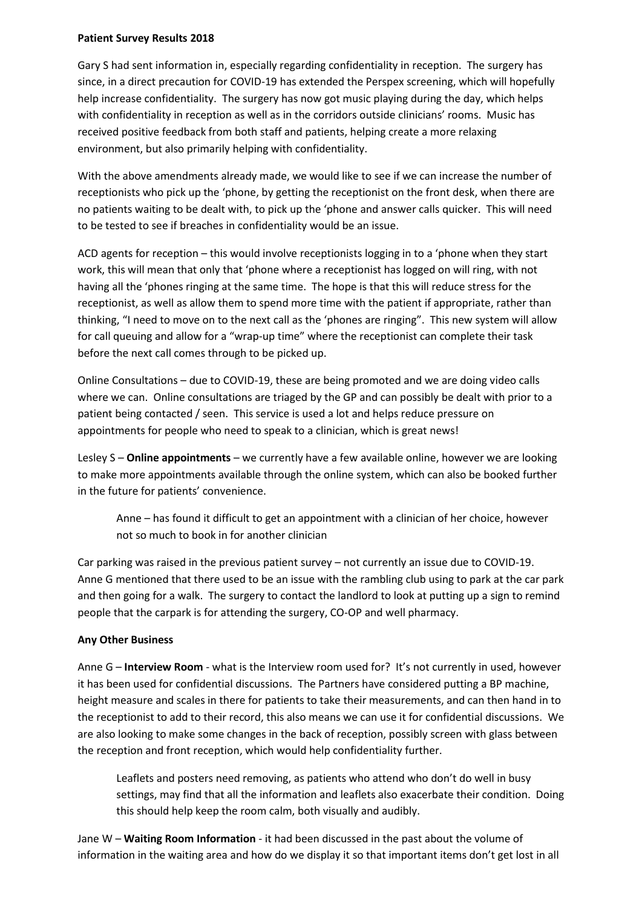#### **Patient Survey Results 2018**

Gary S had sent information in, especially regarding confidentiality in reception. The surgery has since, in a direct precaution for COVID-19 has extended the Perspex screening, which will hopefully help increase confidentiality. The surgery has now got music playing during the day, which helps with confidentiality in reception as well as in the corridors outside clinicians' rooms. Music has received positive feedback from both staff and patients, helping create a more relaxing environment, but also primarily helping with confidentiality.

With the above amendments already made, we would like to see if we can increase the number of receptionists who pick up the 'phone, by getting the receptionist on the front desk, when there are no patients waiting to be dealt with, to pick up the 'phone and answer calls quicker. This will need to be tested to see if breaches in confidentiality would be an issue.

ACD agents for reception – this would involve receptionists logging in to a 'phone when they start work, this will mean that only that 'phone where a receptionist has logged on will ring, with not having all the 'phones ringing at the same time. The hope is that this will reduce stress for the receptionist, as well as allow them to spend more time with the patient if appropriate, rather than thinking, "I need to move on to the next call as the 'phones are ringing". This new system will allow for call queuing and allow for a "wrap-up time" where the receptionist can complete their task before the next call comes through to be picked up.

Online Consultations – due to COVID-19, these are being promoted and we are doing video calls where we can. Online consultations are triaged by the GP and can possibly be dealt with prior to a patient being contacted / seen. This service is used a lot and helps reduce pressure on appointments for people who need to speak to a clinician, which is great news!

Lesley S – **Online appointments** – we currently have a few available online, however we are looking to make more appointments available through the online system, which can also be booked further in the future for patients' convenience.

Anne – has found it difficult to get an appointment with a clinician of her choice, however not so much to book in for another clinician

Car parking was raised in the previous patient survey – not currently an issue due to COVID-19. Anne G mentioned that there used to be an issue with the rambling club using to park at the car park and then going for a walk. The surgery to contact the landlord to look at putting up a sign to remind people that the carpark is for attending the surgery, CO-OP and well pharmacy.

# **Any Other Business**

Anne G – **Interview Room** - what is the Interview room used for? It's not currently in used, however it has been used for confidential discussions. The Partners have considered putting a BP machine, height measure and scales in there for patients to take their measurements, and can then hand in to the receptionist to add to their record, this also means we can use it for confidential discussions. We are also looking to make some changes in the back of reception, possibly screen with glass between the reception and front reception, which would help confidentiality further.

Leaflets and posters need removing, as patients who attend who don't do well in busy settings, may find that all the information and leaflets also exacerbate their condition. Doing this should help keep the room calm, both visually and audibly.

Jane W – **Waiting Room Information** - it had been discussed in the past about the volume of information in the waiting area and how do we display it so that important items don't get lost in all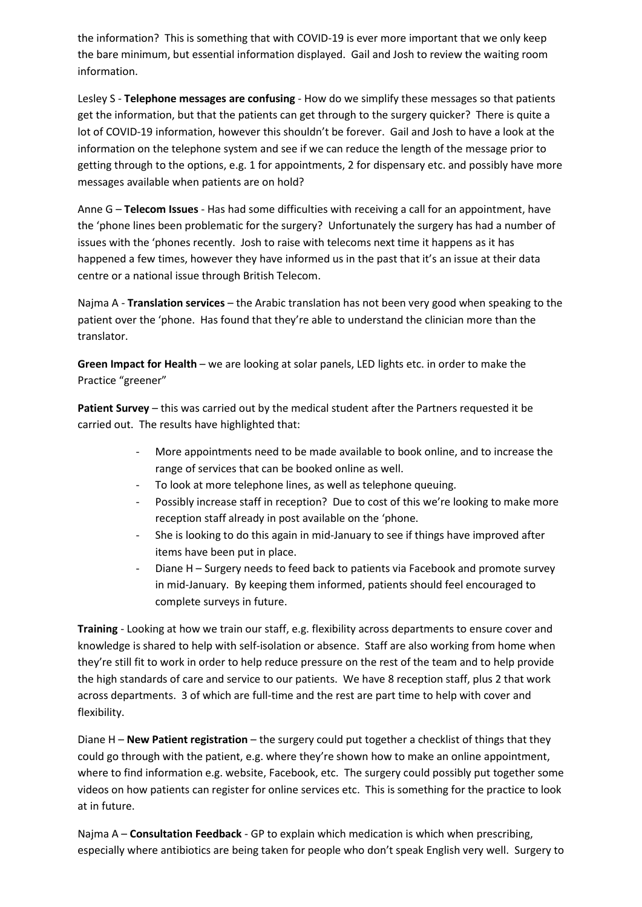the information? This is something that with COVID-19 is ever more important that we only keep the bare minimum, but essential information displayed. Gail and Josh to review the waiting room information.

Lesley S - **Telephone messages are confusing** - How do we simplify these messages so that patients get the information, but that the patients can get through to the surgery quicker? There is quite a lot of COVID-19 information, however this shouldn't be forever. Gail and Josh to have a look at the information on the telephone system and see if we can reduce the length of the message prior to getting through to the options, e.g. 1 for appointments, 2 for dispensary etc. and possibly have more messages available when patients are on hold?

Anne G – **Telecom Issues** - Has had some difficulties with receiving a call for an appointment, have the 'phone lines been problematic for the surgery? Unfortunately the surgery has had a number of issues with the 'phones recently. Josh to raise with telecoms next time it happens as it has happened a few times, however they have informed us in the past that it's an issue at their data centre or a national issue through British Telecom.

Najma A - **Translation services** – the Arabic translation has not been very good when speaking to the patient over the 'phone. Has found that they're able to understand the clinician more than the translator.

**Green Impact for Health** – we are looking at solar panels, LED lights etc. in order to make the Practice "greener"

**Patient Survey** – this was carried out by the medical student after the Partners requested it be carried out. The results have highlighted that:

- More appointments need to be made available to book online, and to increase the range of services that can be booked online as well.
- To look at more telephone lines, as well as telephone queuing.
- Possibly increase staff in reception? Due to cost of this we're looking to make more reception staff already in post available on the 'phone.
- She is looking to do this again in mid-January to see if things have improved after items have been put in place.
- Diane H Surgery needs to feed back to patients via Facebook and promote survey in mid-January. By keeping them informed, patients should feel encouraged to complete surveys in future.

**Training** - Looking at how we train our staff, e.g. flexibility across departments to ensure cover and knowledge is shared to help with self-isolation or absence. Staff are also working from home when they're still fit to work in order to help reduce pressure on the rest of the team and to help provide the high standards of care and service to our patients. We have 8 reception staff, plus 2 that work across departments. 3 of which are full-time and the rest are part time to help with cover and flexibility.

Diane H – **New Patient registration** – the surgery could put together a checklist of things that they could go through with the patient, e.g. where they're shown how to make an online appointment, where to find information e.g. website, Facebook, etc. The surgery could possibly put together some videos on how patients can register for online services etc. This is something for the practice to look at in future.

Najma A – **Consultation Feedback** - GP to explain which medication is which when prescribing, especially where antibiotics are being taken for people who don't speak English very well. Surgery to